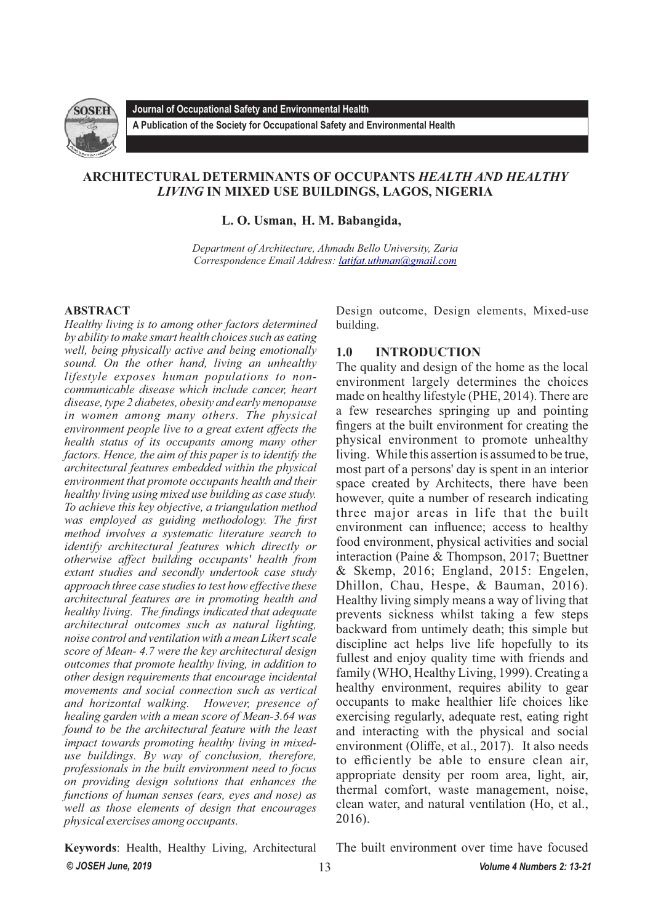

**Journal of Occupational Safety and Environmental Health**

**A Publication of the Society for Occupational Safety and Environmental Health** 

# **ARCHITECTURAL DETERMINANTS OF OCCUPANTS** *HEALTH AND HEALTHY LIVING* **IN MIXED USE BUILDINGS, LAGOS, NIGERIA**

**L. O. Usman, H. M. Babangida,** 

*Department of Architecture, Ahmadu Bello University, Zaria Correspondence Email Address: [latifat.uthman@gmail.com](mailto:latifat.uthman@gmail.com)*

## **ABSTRACT**

*Healthy living is to among other factors determined by ability to make smart health choices such as eating well, being physically active and being emotionally sound. On the other hand, living an unhealthy lifestyle exposes human populations to noncommunicable disease which include cancer, heart disease, type 2 diabetes, obesity and early menopause in women among many others. The physical environment people live to a great extent affects the health status of its occupants among many other factors. Hence, the aim of this paper is to identify the architectural features embedded within the physical environment that promote occupants health and their healthy living using mixed use building as case study. To achieve this key objective, a triangulation method was employed as guiding methodology. The first method involves a systematic literature search to identify architectural features which directly or otherwise affect building occupants' health from extant studies and secondly undertook case study approach three case studies to test how effective these architectural features are in promoting health and healthy living. The findings indicated that adequate architectural outcomes such as natural lighting, noise control and ventilation with a mean Likert scale score of Mean- 4.7 were the key architectural design outcomes that promote healthy living, in addition to other design requirements that encourage incidental movements and social connection such as vertical and horizontal walking. However, presence of healing garden with a mean score of Mean-3.64 was found to be the architectural feature with the least impact towards promoting healthy living in mixeduse buildings. By way of conclusion, therefore, professionals in the built environment need to focus on providing design solutions that enhances the functions of human senses (ears, eyes and nose) as well as those elements of design that encourages physical exercises among occupants.*

Design outcome, Design elements, Mixed-use building.

# **1.0 INTRODUCTION**

The quality and design of the home as the local environment largely determines the choices made on healthy lifestyle (PHE, 2014). There are a few researches springing up and pointing fingers at the built environment for creating the physical environment to promote unhealthy living. While this assertion is assumed to be true, most part of a persons' day is spent in an interior space created by Architects, there have been however, quite a number of research indicating three major areas in life that the built environment can influence; access to healthy food environment, physical activities and social interaction (Paine & Thompson, 2017; Buettner & Skemp, 2016; England, 2015: Engelen, Dhillon, Chau, Hespe, & Bauman, 2016). Healthy living simply means a way of living that prevents sickness whilst taking a few steps backward from untimely death; this simple but discipline act helps live life hopefully to its fullest and enjoy quality time with friends and family (WHO, Healthy Living, 1999). Creating a healthy environment, requires ability to gear occupants to make healthier life choices like exercising regularly, adequate rest, eating right and interacting with the physical and social environment (Oliffe, et al., 2017). It also needs to efficiently be able to ensure clean air, appropriate density per room area, light, air, thermal comfort, waste management, noise, clean water, and natural ventilation (Ho, et al., 2016).

**Keywords**: Health, Healthy Living, Architectural *© JOSEH June, 2019 Volume 4 Numbers 2: 13-21* 

The built environment over time have focused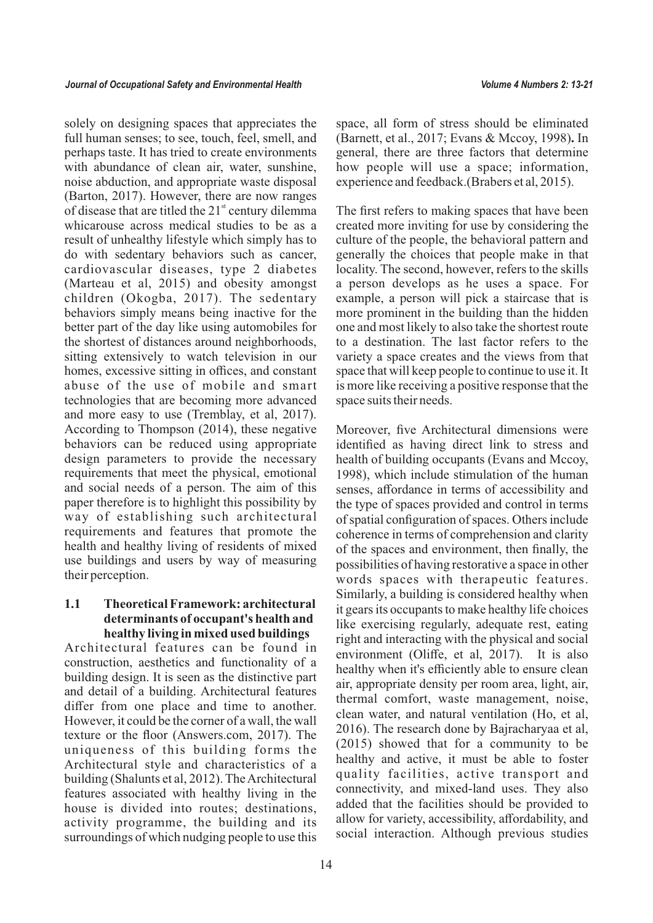solely on designing spaces that appreciates the full human senses; to see, touch, feel, smell, and perhaps taste. It has tried to create environments with abundance of clean air, water, sunshine, noise abduction, and appropriate waste disposal (Barton, 2017). However, there are now ranges of disease that are titled the  $21<sup>st</sup>$  century dilemma whicarouse across medical studies to be as a result of unhealthy lifestyle which simply has to do with sedentary behaviors such as cancer, cardiovascular diseases, type 2 diabetes (Marteau et al, 2015) and obesity amongst children (Okogba, 2017). The sedentary behaviors simply means being inactive for the better part of the day like using automobiles for the shortest of distances around neighborhoods, sitting extensively to watch television in our homes, excessive sitting in offices, and constant abuse of the use of mobile and smart technologies that are becoming more advanced and more easy to use (Tremblay, et al, 2017). According to Thompson (2014), these negative behaviors can be reduced using appropriate design parameters to provide the necessary requirements that meet the physical, emotional and social needs of a person. The aim of this paper therefore is to highlight this possibility by way of establishing such architectural requirements and features that promote the health and healthy living of residents of mixed use buildings and users by way of measuring their perception.

## **1.1 Theoretical Framework: architectural determinants of occupant's health and healthy living in mixed used buildings**

Architectural features can be found in construction, aesthetics and functionality of a building design. It is seen as the distinctive part and detail of a building. Architectural features differ from one place and time to another. However, it could be the corner of a wall, the wall texture or the floor (Answers.com, 2017). The uniqueness of this building forms the Architectural style and characteristics of a building (Shalunts et al, 2012). The Architectural features associated with healthy living in the house is divided into routes; destinations, activity programme, the building and its surroundings of which nudging people to use this space, all form of stress should be eliminated (Barnett, et al., 2017; Evans & Mccoy, 1998)**.** In general, there are three factors that determine how people will use a space; information, experience and feedback.(Brabers et al, 2015).

The first refers to making spaces that have been created more inviting for use by considering the culture of the people, the behavioral pattern and generally the choices that people make in that locality. The second, however, refers to the skills a person develops as he uses a space. For example, a person will pick a staircase that is more prominent in the building than the hidden one and most likely to also take the shortest route to a destination. The last factor refers to the variety a space creates and the views from that space that will keep people to continue to use it. It is more like receiving a positive response that the space suits their needs.

Moreover, five Architectural dimensions were identified as having direct link to stress and health of building occupants (Evans and Mccoy, 1998), which include stimulation of the human senses, affordance in terms of accessibility and the type of spaces provided and control in terms of spatial configuration of spaces. Others include coherence in terms of comprehension and clarity of the spaces and environment, then finally, the possibilities of having restorative a space in other words spaces with therapeutic features. Similarly, a building is considered healthy when it gears its occupants to make healthy life choices like exercising regularly, adequate rest, eating right and interacting with the physical and social environment (Oliffe, et al, 2017). It is also healthy when it's efficiently able to ensure clean air, appropriate density per room area, light, air, thermal comfort, waste management, noise, clean water, and natural ventilation (Ho, et al, 2016). The research done by Bajracharyaa et al, (2015) showed that for a community to be healthy and active, it must be able to foster quality facilities, active transport and connectivity, and mixed-land uses. They also added that the facilities should be provided to allow for variety, accessibility, affordability, and social interaction. Although previous studies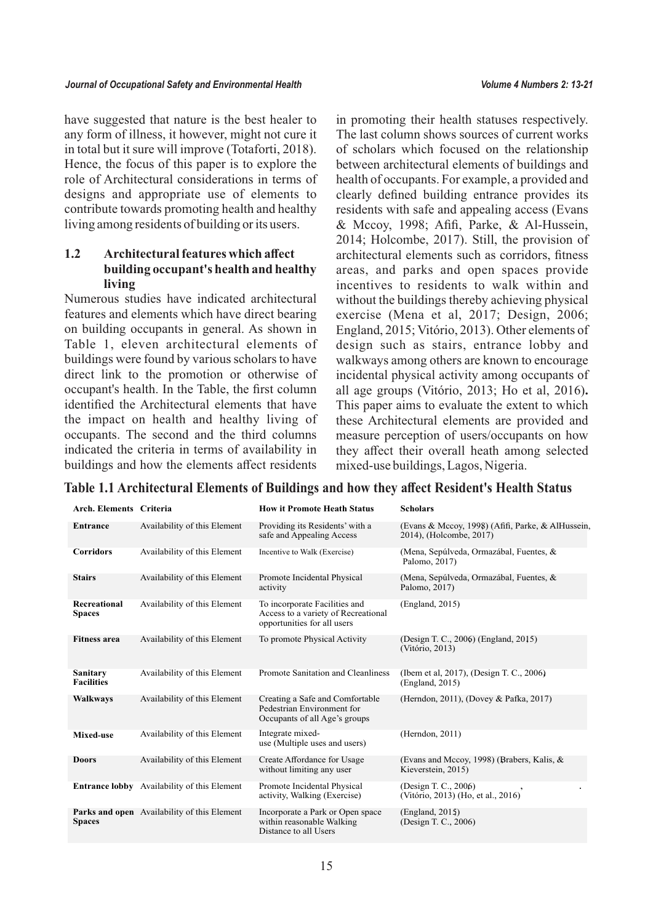have suggested that nature is the best healer to any form of illness, it however, might not cure it in total but it sure will improve (Totaforti, 2018). Hence, the focus of this paper is to explore the role of Architectural considerations in terms of designs and appropriate use of elements to contribute towards promoting health and healthy living among residents of building or its users.

# **1.2 Architectural features which affect building occupant's health and healthy living**

Numerous studies have indicated architectural features and elements which have direct bearing on building occupants in general. As shown in Table 1, eleven architectural elements of buildings were found by various scholars to have direct link to the promotion or otherwise of occupant's health. In the Table, the first column identified the Architectural elements that have the impact on health and healthy living of occupants. The second and the third columns indicated the criteria in terms of availability in buildings and how the elements affect residents

in promoting their health statuses respectively. The last column shows sources of current works of scholars which focused on the relationship between architectural elements of buildings and health of occupants. For example, a provided and clearly defined building entrance provides its residents with safe and appealing access (Evans & Mccoy, 1998; Afifi, Parke, & Al-Hussein, 2014; Holcombe, 2017). Still, the provision of architectural elements such as corridors, fitness areas, and parks and open spaces provide incentives to residents to walk within and without the buildings thereby achieving physical exercise (Mena et al, 2017; Design, 2006; England, 2015; Vitório, 2013). Other elements of design such as stairs, entrance lobby and walkways among others are known to encourage incidental physical activity among occupants of all age groups (Vitório, 2013; Ho et al, 2016)**.** This paper aims to evaluate the extent to which these Architectural elements are provided and measure perception of users/occupants on how they affect their overall heath among selected mixed-use buildings, Lagos, Nigeria.

| Arch. Elements Criteria       |                                                    | <b>How it Promote Heath Status</b>                                                                  | <b>Scholars</b>                                                              |
|-------------------------------|----------------------------------------------------|-----------------------------------------------------------------------------------------------------|------------------------------------------------------------------------------|
| Entrance                      | Availability of this Element                       | Providing its Residents' with a<br>safe and Appealing Access                                        | (Evans & Mccoy, 1998) (Afifi, Parke, & AlHussein,<br>2014), (Holcombe, 2017) |
| <b>Corridors</b>              | Availability of this Element                       | Incentive to Walk (Exercise)                                                                        | (Mena, Sepúlveda, Ormazábal, Fuentes, &<br>Palomo, 2017)                     |
| <b>Stairs</b>                 | Availability of this Element                       | Promote Incidental Physical<br>activity                                                             | (Mena, Sepúlveda, Ormazábal, Fuentes, &<br>Palomo, 2017)                     |
| Recreational<br><b>Spaces</b> | Availability of this Element                       | To incorporate Facilities and<br>Access to a variety of Recreational<br>opportunities for all users | (England, 2015)                                                              |
| <b>Fitness area</b>           | Availability of this Element                       | To promote Physical Activity                                                                        | (Design T. C., 2006) (England, 2015)<br>(Vitório, 2013)                      |
| Sanitary<br><b>Facilities</b> | Availability of this Element                       | Promote Sanitation and Cleanliness                                                                  | (Ibem et al, 2017), (Design T. C., 2006)<br>(England, 2015)                  |
| <b>Walkways</b>               | Availability of this Element                       | Creating a Safe and Comfortable<br>Pedestrian Environment for<br>Occupants of all Age's groups      | (Herndon, 2011), (Dovey & Pafka, 2017)                                       |
| Mixed-use                     | Availability of this Element                       | Integrate mixed-<br>use (Multiple uses and users)                                                   | (Herndon, 2011)                                                              |
| <b>Doors</b>                  | Availability of this Element                       | Create Affordance for Usage<br>without limiting any user                                            | (Evans and Mccoy, 1998) (Brabers, Kalis, $\&$<br>Kieverstein, 2015)          |
|                               | <b>Entrance lobby</b> Availability of this Element | Promote Incidental Physical<br>activity, Walking (Exercise)                                         | (Design T. C., 2006)<br>(Vitório, 2013) (Ho, et al., 2016)                   |
| <b>Spaces</b>                 | <b>Parks and open</b> Availability of this Element | Incorporate a Park or Open space<br>within reasonable Walking<br>Distance to all Users              | (England, 2015)<br>(Design T. C., 2006)                                      |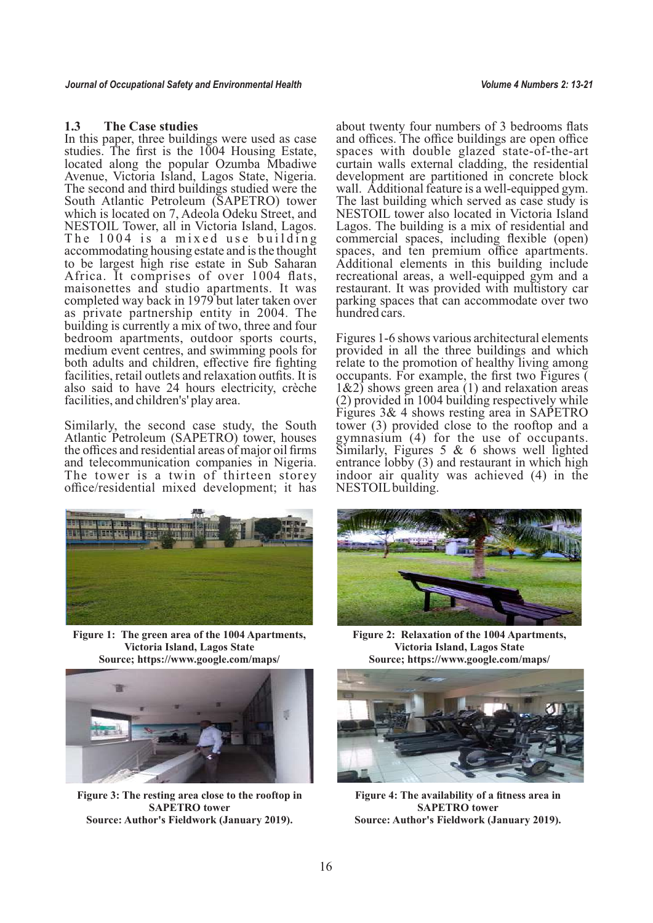## **1.3 The Case studies**

In this paper, three buildings were used as case studies. The first is the 1004 Housing Estate, located along the popular Ozumba Mbadiwe Avenue, Victoria Island, Lagos State, Nigeria. The second and third buildings studied were the South Atlantic Petroleum (SAPETRO) tower which is located on 7, Adeola Odeku Street, and NESTOIL Tower, all in Victoria Island, Lagos. The  $1004$  is a mixed use building accommodating housing estate and is the thought to be largest high rise estate in Sub Saharan Africa. It comprises of over 1004 flats, maisonettes and studio apartments. It was completed way back in 1979 but later taken over as private partnership entity in 2004. The building is currently a mix of two, three and four bedroom apartments, outdoor sports courts, medium event centres, and swimming pools for both adults and children, effective fire fighting facilities, retail outlets and relaxation outfits. It is also said to have 24 hours electricity, crèche facilities, and children's' play area.

Similarly, the second case study, the South Atlantic Petroleum (SAPETRO) tower, houses the offices and residential areas of major oil firms and telecommunication companies in Nigeria. The tower is a twin of thirteen storey office/residential mixed development; it has



**Figure 1: The green area of the 1004 Apartments, Victoria Island, Lagos State Source; https://www.google.com/maps/**



**Figure 3: The resting area close to the rooftop in SAPETRO tower Source: Author's Fieldwork (January 2019).**

about twenty four numbers of 3 bedrooms flats and offices. The office buildings are open office spaces with double glazed state-of-the-art curtain walls external cladding, the residential development are partitioned in concrete block wall. Additional feature is a well-equipped gym. The last building which served as case study is NESTOIL tower also located in Victoria Island Lagos. The building is a mix of residential and commercial spaces, including flexible (open) spaces, and ten premium office apartments. Additional elements in this building include recreational areas, a well-equipped gym and a restaurant. It was provided with multistory car parking spaces that can accommodate over two hundred cars.

Figures 1-6 shows various architectural elements provided in all the three buildings and which relate to the promotion of healthy living among occupants. For example, the first two Figures (  $1\&2$ ) shows green area (1) and relaxation areas (2) provided in 1004 building respectively while Figures 3& 4 shows resting area in SAPETRO tower (3) provided close to the rooftop and a gymnasium (4) for the use of occupants. Similarly, Figures 5  $& 6$  shows well lighted entrance lobby (3) and restaurant in which high indoor air quality was achieved (4) in the NESTOIL building.



**Figure 2: Relaxation of the 1004 Apartments, Victoria Island, Lagos State Source; https://www.google.com/maps/**



**Figure 4: The availability of a fitness area in SAPETRO tower Source: Author's Fieldwork (January 2019).**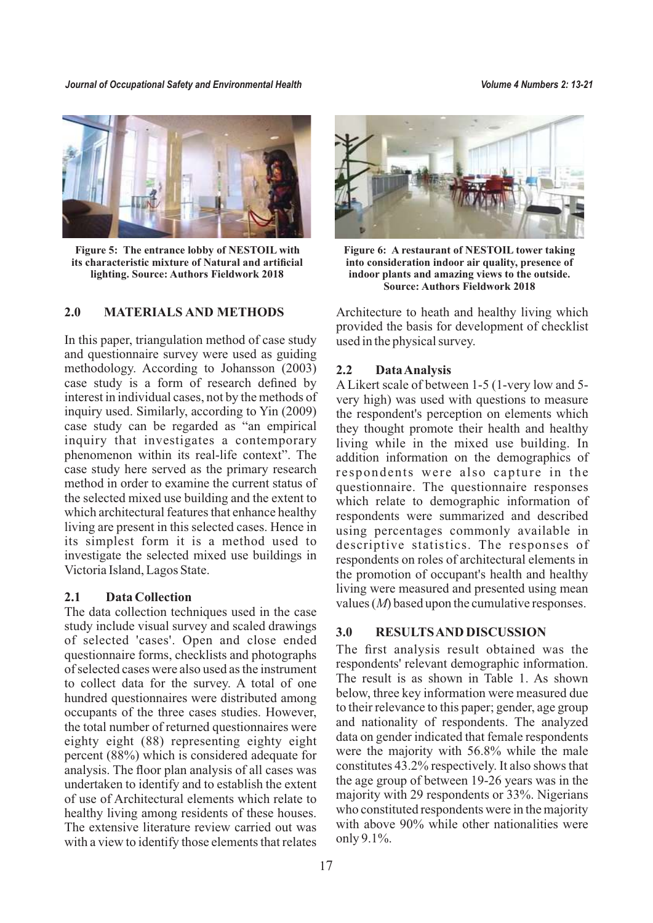*Journal of Occupational Safety and Environmental Health Volume 4 Numbers 2: 13-21*



**Figure 5: The entrance lobby of NESTOIL with its characteristic mixture of Natural and artificial lighting. Source: Authors Fieldwork 2018**

## **2.0 MATERIALS AND METHODS**

In this paper, triangulation method of case study and questionnaire survey were used as guiding methodology. According to Johansson (2003) case study is a form of research defined by interest in individual cases, not by the methods of inquiry used. Similarly, according to Yin (2009) case study can be regarded as "an empirical inquiry that investigates a contemporary phenomenon within its real-life context". The case study here served as the primary research method in order to examine the current status of the selected mixed use building and the extent to which architectural features that enhance healthy living are present in this selected cases. Hence in its simplest form it is a method used to investigate the selected mixed use buildings in Victoria Island, Lagos State.

## **2.1 Data Collection**

The data collection techniques used in the case study include visual survey and scaled drawings of selected 'cases'. Open and close ended questionnaire forms, checklists and photographs of selected cases were also used as the instrument to collect data for the survey. A total of one hundred questionnaires were distributed among occupants of the three cases studies. However, the total number of returned questionnaires were eighty eight (88) representing eighty eight percent (88%) which is considered adequate for analysis. The floor plan analysis of all cases was undertaken to identify and to establish the extent of use of Architectural elements which relate to healthy living among residents of these houses. The extensive literature review carried out was with a view to identify those elements that relates



**Figure 6: A restaurant of NESTOIL tower taking into consideration indoor air quality, presence of indoor plants and amazing views to the outside. Source: Authors Fieldwork 2018**

Architecture to heath and healthy living which provided the basis for development of checklist used in the physical survey.

#### **2.2 Data Analysis**

A Likert scale of between 1-5 (1-very low and 5 very high) was used with questions to measure the respondent's perception on elements which they thought promote their health and healthy living while in the mixed use building. In addition information on the demographics of respondents were also capture in the questionnaire. The questionnaire responses which relate to demographic information of respondents were summarized and described using percentages commonly available in descriptive statistics. The responses of respondents on roles of architectural elements in the promotion of occupant's health and healthy living were measured and presented using mean values (*M*) based upon the cumulative responses.

## **3.0 RESULTS AND DISCUSSION**

The first analysis result obtained was the respondents' relevant demographic information. The result is as shown in Table 1. As shown below, three key information were measured due to their relevance to this paper; gender, age group and nationality of respondents. The analyzed data on gender indicated that female respondents were the majority with 56.8% while the male constitutes 43.2% respectively. It also shows that the age group of between 19-26 years was in the majority with 29 respondents or 33%. Nigerians who constituted respondents were in the majority with above 90% while other nationalities were only 9.1%.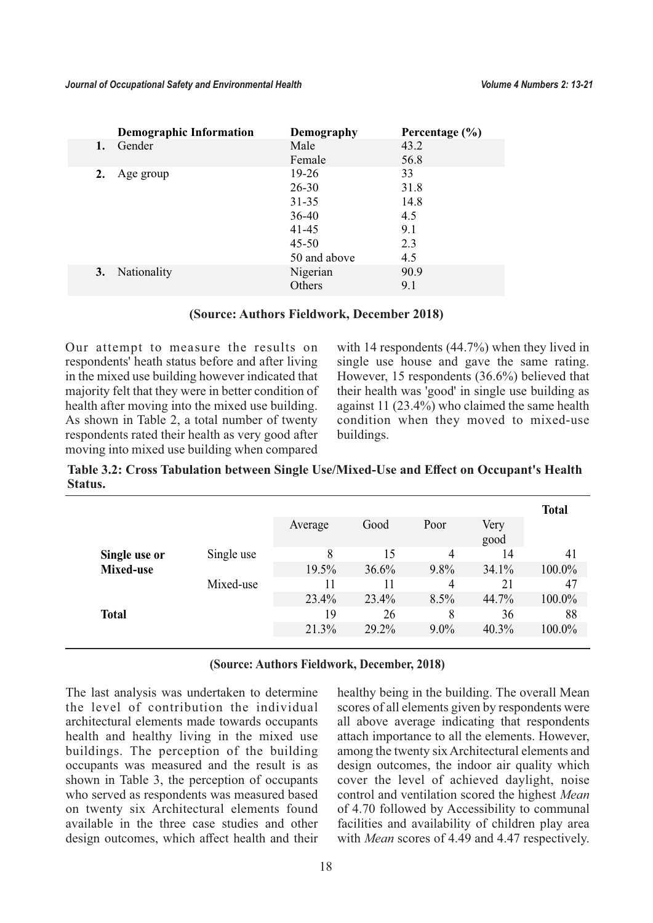| Demography   | Percentage $(\% )$ |
|--------------|--------------------|
| Male         | 43.2               |
| Female       | 56.8               |
| $19-26$      | 33                 |
| $26 - 30$    | 31.8               |
| $31 - 35$    | 14.8               |
| $36-40$      | 4.5                |
| $41 - 45$    | 9.1                |
| $45 - 50$    | 2.3                |
| 50 and above | 4.5                |
| Nigerian     | 90.9               |
| Others       | 9.1                |
|              |                    |

## **(Source: Authors Fieldwork, December 2018)**

Our attempt to measure the results on respondents' heath status before and after living in the mixed use building however indicated that majority felt that they were in better condition of health after moving into the mixed use building. As shown in Table 2, a total number of twenty respondents rated their health as very good after moving into mixed use building when compared with 14 respondents (44.7%) when they lived in single use house and gave the same rating. However, 15 respondents (36.6%) believed that their health was 'good' in single use building as against 11 (23.4%) who claimed the same health condition when they moved to mixed-use buildings.

**Table 3.2: Cross Tabulation between Single Use/Mixed-Use and Effect on Occupant's Health Status.**

|               |            |         |       |         |              | <b>Total</b> |
|---------------|------------|---------|-------|---------|--------------|--------------|
|               |            | Average | Good  | Poor    | Very<br>good |              |
| Single use or | Single use | 8       | 15    | 4       | 14           | 41           |
| Mixed-use     |            | 19.5%   | 36.6% | $9.8\%$ | 34.1%        | 100.0%       |
|               | Mixed-use  | 11      | 11    | 4       | 21           | 47           |
|               |            | 23.4%   | 23.4% | 8.5%    | 44.7%        | 100.0%       |
| <b>Total</b>  |            | 19      | 26    | 8       | 36           | 88           |
|               |            | 21.3%   | 29.2% | $9.0\%$ | 40.3%        | 100.0%       |
|               |            |         |       |         |              |              |

## **(Source: Authors Fieldwork, December, 2018)**

The last analysis was undertaken to determine the level of contribution the individual architectural elements made towards occupants health and healthy living in the mixed use buildings. The perception of the building occupants was measured and the result is as shown in Table 3, the perception of occupants who served as respondents was measured based on twenty six Architectural elements found available in the three case studies and other design outcomes, which affect health and their healthy being in the building. The overall Mean scores of all elements given by respondents were all above average indicating that respondents attach importance to all the elements. However, among the twenty six Architectural elements and design outcomes, the indoor air quality which cover the level of achieved daylight, noise control and ventilation scored the highest *Mean* of 4.70 followed by Accessibility to communal facilities and availability of children play area with *Mean* scores of 4.49 and 4.47 respectively.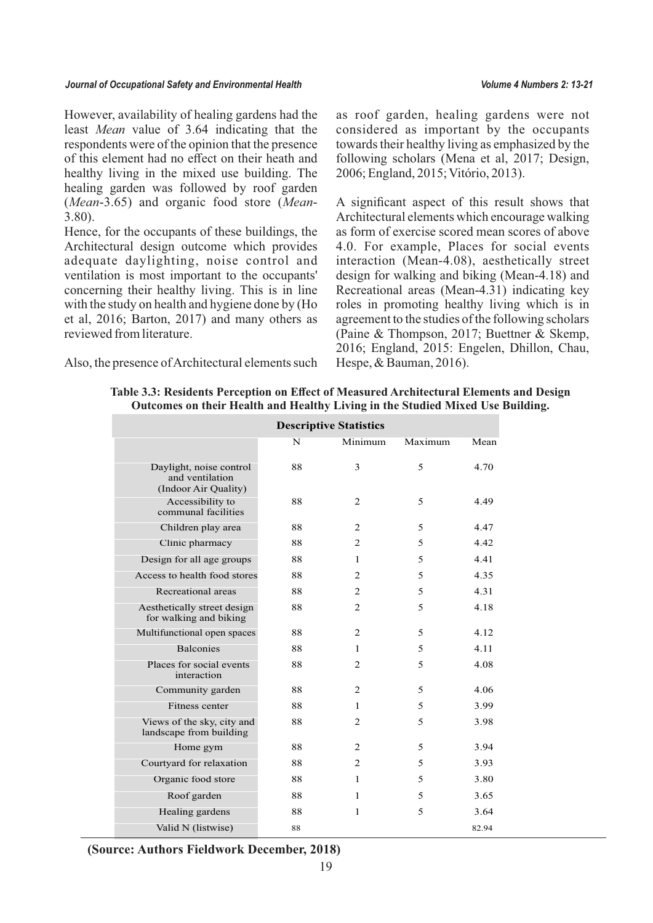#### *Journal of Occupational Safety and Environmental Health Volume 4 Numbers 2: 13-21*

However, availability of healing gardens had the least *Mean* value of 3.64 indicating that the respondents were of the opinion that the presence of this element had no effect on their heath and healthy living in the mixed use building. The healing garden was followed by roof garden (*Mean*-3.65) and organic food store (*Mean*-3.80).

Hence, for the occupants of these buildings, the Architectural design outcome which provides adequate daylighting, noise control and ventilation is most important to the occupants' concerning their healthy living. This is in line with the study on health and hygiene done by (Ho et al, 2016; Barton, 2017) and many others as reviewed from literature.

Also, the presence of Architectural elements such

as roof garden, healing gardens were not considered as important by the occupants towards their healthy living as emphasized by the following scholars (Mena et al, 2017; Design, 2006; England, 2015; Vitório, 2013).

A significant aspect of this result shows that Architectural elements which encourage walking as form of exercise scored mean scores of above 4.0. For example, Places for social events interaction (Mean-4.08), aesthetically street design for walking and biking (Mean-4.18) and Recreational areas (Mean-4.31) indicating key roles in promoting healthy living which is in agreement to the studies of the following scholars (Paine & Thompson, 2017; Buettner & Skemp, 2016; England, 2015: Engelen, Dhillon, Chau, Hespe, & Bauman, 2016).

|                                                                    | <b>Descriptive Statistics</b> |              |         |       |  |  |
|--------------------------------------------------------------------|-------------------------------|--------------|---------|-------|--|--|
|                                                                    | N                             | Minimum      | Maximum | Mean  |  |  |
| Daylight, noise control<br>and ventilation<br>(Indoor Air Quality) | 88                            | 3            | 5       | 4.70  |  |  |
| Accessibility to<br>communal facilities                            | 88                            | 2            | 5       | 4.49  |  |  |
| Children play area                                                 | 88                            | 2            | 5       | 4.47  |  |  |
| Clinic pharmacy                                                    | 88                            | 2            | 5       | 4.42  |  |  |
| Design for all age groups                                          | 88                            | 1            | 5       | 4.41  |  |  |
| Access to health food stores                                       | 88                            | 2            | 5       | 4.35  |  |  |
| Recreational areas                                                 | 88                            | 2            | 5       | 4.31  |  |  |
| Aesthetically street design<br>for walking and biking              | 88                            | 2            | 5       | 4.18  |  |  |
| Multifunctional open spaces                                        | 88                            | 2            | 5       | 4.12  |  |  |
| <b>Balconies</b>                                                   | 88                            | 1            | 5       | 4.11  |  |  |
| Places for social events<br>interaction                            | 88                            | 2            | 5       | 4.08  |  |  |
| Community garden                                                   | 88                            | 2            | 5       | 4.06  |  |  |
| Fitness center                                                     | 88                            | 1            | 5       | 3.99  |  |  |
| Views of the sky, city and<br>landscape from building              | 88                            | 2            | 5       | 3.98  |  |  |
| Home gym                                                           | 88                            | 2            | 5       | 3.94  |  |  |
| Courtyard for relaxation                                           | 88                            | 2            | 5       | 3.93  |  |  |
| Organic food store                                                 | 88                            | 1            | 5       | 3.80  |  |  |
| Roof garden                                                        | 88                            | 1            | 5       | 3.65  |  |  |
| Healing gardens                                                    | 88                            | $\mathbf{1}$ | 5       | 3.64  |  |  |
| Valid N (listwise)                                                 | 88                            |              |         | 82.94 |  |  |

**Table 3.3: Residents Perception on Effect of Measured Architectural Elements and Design Outcomes on their Health and Healthy Living in the Studied Mixed Use Building.** 

**(Source: Authors Fieldwork December, 2018)**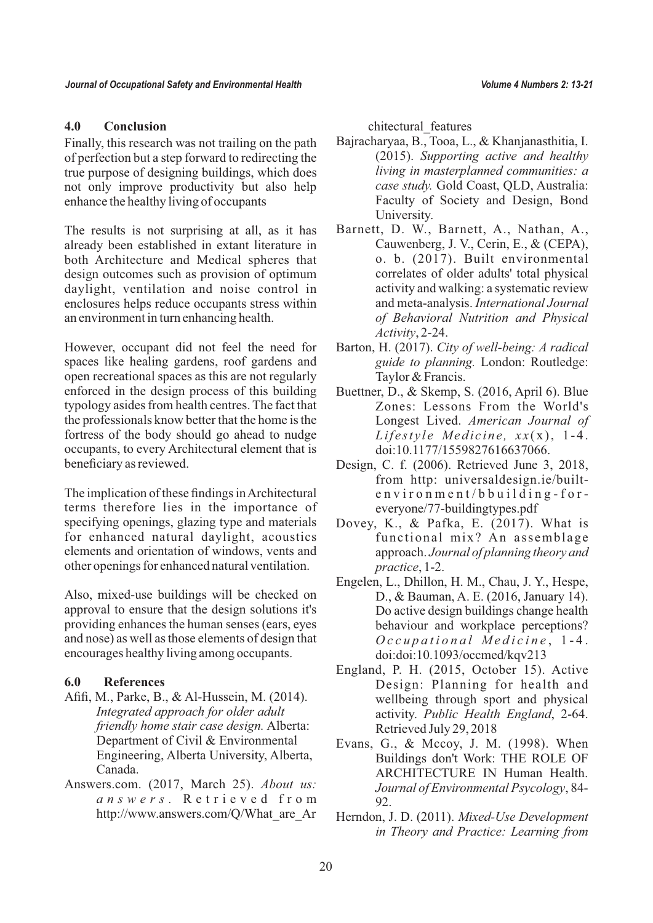# **4.0 Conclusion**

Finally, this research was not trailing on the path of perfection but a step forward to redirecting the true purpose of designing buildings, which does not only improve productivity but also help enhance the healthy living of occupants

The results is not surprising at all, as it has already been established in extant literature in both Architecture and Medical spheres that design outcomes such as provision of optimum daylight, ventilation and noise control in enclosures helps reduce occupants stress within an environment in turn enhancing health.

However, occupant did not feel the need for spaces like healing gardens, roof gardens and open recreational spaces as this are not regularly enforced in the design process of this building typology asides from health centres. The fact that the professionals know better that the home is the fortress of the body should go ahead to nudge occupants, to every Architectural element that is beneficiary as reviewed.

The implication of these findings in Architectural terms therefore lies in the importance of specifying openings, glazing type and materials for enhanced natural daylight, acoustics elements and orientation of windows, vents and other openings for enhanced natural ventilation.

Also, mixed-use buildings will be checked on approval to ensure that the design solutions it's providing enhances the human senses (ears, eyes and nose) as well as those elements of design that encourages healthy living among occupants.

## **6.0 References**

- Afifi, M., Parke, B., & Al-Hussein, M. (2014). *Integrated approach for older adult friendly home stair case design.* Alberta: Department of Civil & Environmental Engineering, Alberta University, Alberta, Canada.
- Answers.com. (2017, March 25). *About us: a n s w e r s .* R e t r i e v e d f r o m http://www.answers.com/Q/What\_are\_Ar

chitectural features

- Bajracharyaa, B., Tooa, L., & Khanjanasthitia, I. (2015). *Supporting active and healthy living in masterplanned communities: a case study.* Gold Coast, QLD, Australia: Faculty of Society and Design, Bond University.
- Barnett, D. W., Barnett, A., Nathan, A., Cauwenberg, J. V., Cerin, E., & (CEPA), o. b. (2017). Built environmental correlates of older adults' total physical activity and walking: a systematic review and meta-analysis. *International Journal of Behavioral Nutrition and Physical Activity*, 2-24.
- Barton, H. (2017). *City of well-being: A radical guide to planning.* London: Routledge: Taylor & Francis.
- Buettner, D., & Skemp, S. (2016, April 6). Blue Zones: Lessons From the World's Longest Lived. *American Journal of Lifestyle Medicine*,  $xx(x)$ , 1-4. doi:10.1177/1559827616637066.
- Design, C. f. (2006). Retrieved June 3, 2018, from http: universaldesign.ie/built $environ m en t/b build in g-for$ everyone/77-buildingtypes.pdf
- Dovey, K., & Pafka, E. (2017). What is functional mix? An assemblage approach. *Journal of planning theory and practice*, 1-2.
- Engelen, L., Dhillon, H. M., Chau, J. Y., Hespe, D., & Bauman, A. E. (2016, January 14). Do active design buildings change health behaviour and workplace perceptions? *O c c u p a t i o n a l M e d i c i n e* , 1 - 4 . doi:doi:10.1093/occmed/kqv213
- England, P. H. (2015, October 15). Active Design: Planning for health and wellbeing through sport and physical activity. *Public Health England*, 2-64. Retrieved July 29, 2018
- Evans, G., & Mccoy, J. M. (1998). When Buildings don't Work: THE ROLE OF ARCHITECTURE IN Human Health. *Journal of Environmental Psycology*, 84- 92.
- Herndon, J. D. (2011). *Mixed-Use Development in Theory and Practice: Learning from*